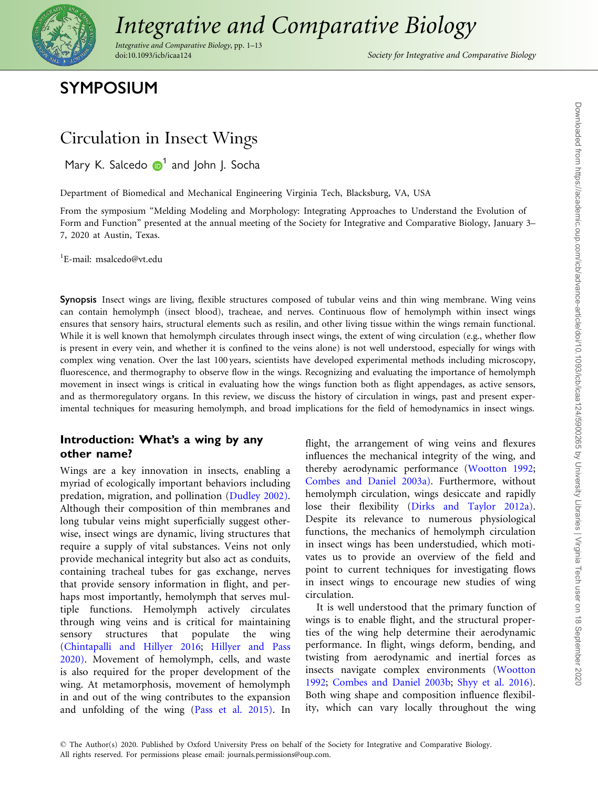

# [Integrative and Comparative Biology](https://academic.oup.com/)

Integrative and Comparative Biology, pp. 1–13

Society for Integrative and Comparative Biology

# SYMPOSIUM

## Circulation in Insect Wings

Mary K. Salcedo  $\mathbf{D}^1$  and John J. Socha

Department of Biomedical and Mechanical Engineering Virginia Tech, Blacksburg, VA, USA

From the symposium "Melding Modeling and Morphology: Integrating Approaches to Understand the Evolution of Form and Function" presented at the annual meeting of the Society for Integrative and Comparative Biology, January 3– 7, 2020 at Austin, Texas.

1 E-mail: msalcedo@vt.edu

Synopsis Insect wings are living, flexible structures composed of tubular veins and thin wing membrane. Wing veins can contain hemolymph (insect blood), tracheae, and nerves. Continuous flow of hemolymph within insect wings ensures that sensory hairs, structural elements such as resilin, and other living tissue within the wings remain functional. While it is well known that hemolymph circulates through insect wings, the extent of wing circulation (e.g., whether flow is present in every vein, and whether it is confined to the veins alone) is not well understood, especially for wings with complex wing venation. Over the last 100 years, scientists have developed experimental methods including microscopy, fluorescence, and thermography to observe flow in the wings. Recognizing and evaluating the importance of hemolymph movement in insect wings is critical in evaluating how the wings function both as flight appendages, as active sensors, and as thermoregulatory organs. In this review, we discuss the history of circulation in wings, past and present experimental techniques for measuring hemolymph, and broad implications for the field of hemodynamics in insect wings.

#### Introduction: What's a wing by any other name?

Wings are a key innovation in insects, enabling a myriad of ecologically important behaviors including predation, migration, and pollination ([Dudley 2002\).](#page-10-0) Although their composition of thin membranes and long tubular veins might superficially suggest otherwise, insect wings are dynamic, living structures that require a supply of vital substances. Veins not only provide mechanical integrity but also act as conduits, containing tracheal tubes for gas exchange, nerves that provide sensory information in flight, and perhaps most importantly, hemolymph that serves multiple functions. Hemolymph actively circulates through wing veins and is critical for maintaining sensory structures that populate the wing ([Chintapalli and Hillyer 2016](#page-10-0); [Hillyer and Pass](#page-10-0) [2020\).](#page-10-0) Movement of hemolymph, cells, and waste is also required for the proper development of the wing. At metamorphosis, movement of hemolymph in and out of the wing contributes to the expansion and unfolding of the wing [\(Pass et al. 2015\).](#page-11-0) In

flight, the arrangement of wing veins and flexures influences the mechanical integrity of the wing, and thereby aerodynamic performance ([Wootton 1992;](#page-12-0) [Combes and Daniel 2003a\).](#page-10-0) Furthermore, without hemolymph circulation, wings desiccate and rapidly lose their flexibility ([Dirks and Taylor 2012a\)](#page-10-0). Despite its relevance to numerous physiological functions, the mechanics of hemolymph circulation in insect wings has been understudied, which motivates us to provide an overview of the field and point to current techniques for investigating flows in insect wings to encourage new studies of wing circulation.

It is well understood that the primary function of wings is to enable flight, and the structural properties of the wing help determine their aerodynamic performance. In flight, wings deform, bending, and twisting from aerodynamic and inertial forces as insects navigate complex environments [\(Wootton](#page-12-0) [1992](#page-12-0); [Combes and Daniel 2003b](#page-10-0); [Shyy et al. 2016\).](#page-11-0) Both wing shape and composition influence flexibility, which can vary locally throughout the wing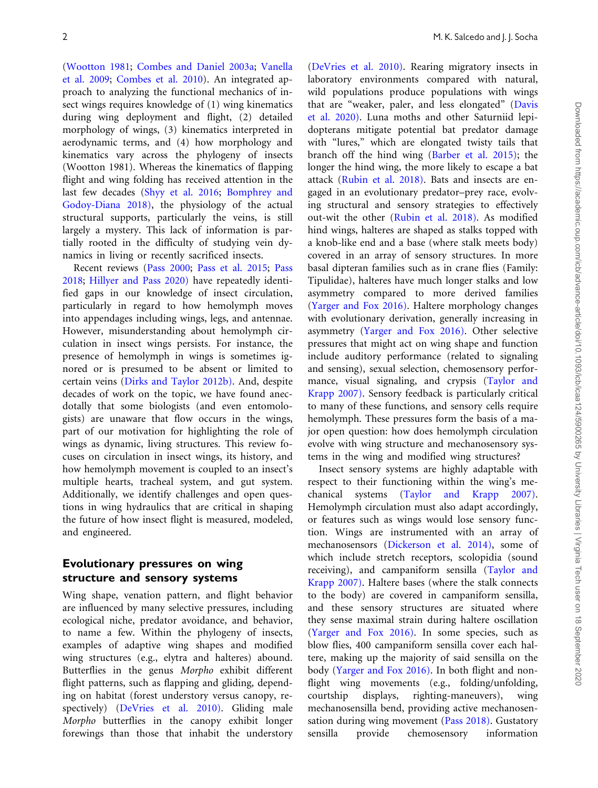[\(Wootton 1981](#page-12-0); [Combes and Daniel 2003a](#page-10-0); [Vanella](#page-11-0) [et al. 2009;](#page-11-0) [Combes et al. 2010](#page-10-0)). An integrated approach to analyzing the functional mechanics of insect wings requires knowledge of (1) wing kinematics during wing deployment and flight, (2) detailed morphology of wings, (3) kinematics interpreted in aerodynamic terms, and (4) how morphology and kinematics vary across the phylogeny of insects (Wootton 1981). Whereas the kinematics of flapping flight and wing folding has received attention in the last few decades ([Shyy et al. 2016](#page-11-0); [Bomphrey and](#page-10-0) [Godoy-Diana 2018\)](#page-10-0), the physiology of the actual structural supports, particularly the veins, is still largely a mystery. This lack of information is partially rooted in the difficulty of studying vein dynamics in living or recently sacrificed insects.

Recent reviews [\(Pass 2000;](#page-11-0) [Pass et al. 2015;](#page-11-0) [Pass](#page-11-0) [2018](#page-11-0); [Hillyer and Pass 2020\)](#page-10-0) have repeatedly identified gaps in our knowledge of insect circulation, particularly in regard to how hemolymph moves into appendages including wings, legs, and antennae. However, misunderstanding about hemolymph circulation in insect wings persists. For instance, the presence of hemolymph in wings is sometimes ignored or is presumed to be absent or limited to certain veins ([Dirks and Taylor 2012b\).](#page-10-0) And, despite decades of work on the topic, we have found anecdotally that some biologists (and even entomologists) are unaware that flow occurs in the wings, part of our motivation for highlighting the role of wings as dynamic, living structures. This review focuses on circulation in insect wings, its history, and how hemolymph movement is coupled to an insect's multiple hearts, tracheal system, and gut system. Additionally, we identify challenges and open questions in wing hydraulics that are critical in shaping the future of how insect flight is measured, modeled, and engineered.

#### Evolutionary pressures on wing structure and sensory systems

Wing shape, venation pattern, and flight behavior are influenced by many selective pressures, including ecological niche, predator avoidance, and behavior, to name a few. Within the phylogeny of insects, examples of adaptive wing shapes and modified wing structures (e.g., elytra and halteres) abound. Butterflies in the genus Morpho exhibit different flight patterns, such as flapping and gliding, depending on habitat (forest understory versus canopy, respectively) ([DeVries et al. 2010\)](#page-10-0). Gliding male Morpho butterflies in the canopy exhibit longer forewings than those that inhabit the understory ([DeVries et al. 2010\)](#page-10-0). Rearing migratory insects in laboratory environments compared with natural, wild populations produce populations with wings that are "weaker, paler, and less elongated" ([Davis](#page-10-0) [et al. 2020\).](#page-10-0) Luna moths and other Saturniid lepidopterans mitigate potential bat predator damage with "lures," which are elongated twisty tails that branch off the hind wing [\(Barber et al. 2015\);](#page-10-0) the longer the hind wing, the more likely to escape a bat attack [\(Rubin et al. 2018\).](#page-11-0) Bats and insects are engaged in an evolutionary predator–prey race, evolving structural and sensory strategies to effectively out-wit the other [\(Rubin et al. 2018\)](#page-11-0). As modified hind wings, halteres are shaped as stalks topped with a knob-like end and a base (where stalk meets body) covered in an array of sensory structures. In more basal dipteran families such as in crane flies (Family: Tipulidae), halteres have much longer stalks and low asymmetry compared to more derived families ([Yarger and Fox 2016\)](#page-12-0). Haltere morphology changes with evolutionary derivation, generally increasing in asymmetry [\(Yarger and Fox 2016\)](#page-12-0). Other selective pressures that might act on wing shape and function include auditory performance (related to signaling and sensing), sexual selection, chemosensory performance, visual signaling, and crypsis ([Taylor and](#page-11-0) [Krapp 2007\).](#page-11-0) Sensory feedback is particularly critical to many of these functions, and sensory cells require hemolymph. These pressures form the basis of a major open question: how does hemolymph circulation evolve with wing structure and mechanosensory systems in the wing and modified wing structures?

Insect sensory systems are highly adaptable with respect to their functioning within the wing's mechanical systems ([Taylor and Krapp 2007\).](#page-11-0) Hemolymph circulation must also adapt accordingly, or features such as wings would lose sensory function. Wings are instrumented with an array of mechanosensors [\(Dickerson et al. 2014\)](#page-10-0), some of which include stretch receptors, scolopidia (sound receiving), and campaniform sensilla [\(Taylor and](#page-11-0) [Krapp 2007\).](#page-11-0) Haltere bases (where the stalk connects to the body) are covered in campaniform sensilla, and these sensory structures are situated where they sense maximal strain during haltere oscillation ([Yarger and Fox 2016\)](#page-12-0). In some species, such as blow flies, 400 campaniform sensilla cover each haltere, making up the majority of said sensilla on the body [\(Yarger and Fox 2016\)](#page-12-0). In both flight and nonflight wing movements (e.g., folding/unfolding, courtship displays, righting-maneuvers), wing mechanosensilla bend, providing active mechanosensation during wing movement ([Pass 2018\).](#page-11-0) Gustatory sensilla provide chemosensory information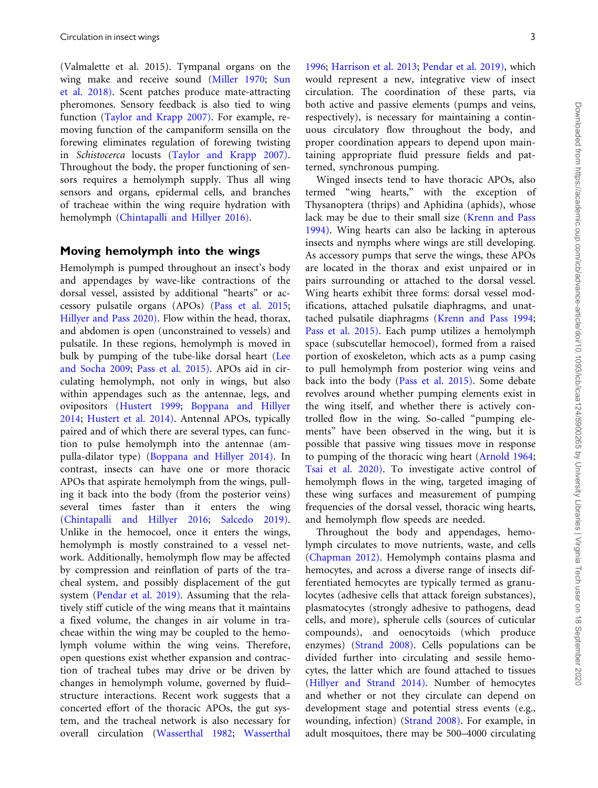(Valmalette et al. 2015). Tympanal organs on the wing make and receive sound ([Miller 1970;](#page-11-0) [Sun](#page-11-0) [et al. 2018\)](#page-11-0). Scent patches produce mate-attracting pheromones. Sensory feedback is also tied to wing function ([Taylor and Krapp 2007\).](#page-11-0) For example, removing function of the campaniform sensilla on the forewing eliminates regulation of forewing twisting in Schistocerca locusts ([Taylor and Krapp 2007\).](#page-11-0) Throughout the body, the proper functioning of sensors requires a hemolymph supply. Thus all wing sensors and organs, epidermal cells, and branches of tracheae within the wing require hydration with hemolymph ([Chintapalli and Hillyer 2016\)](#page-10-0).

#### Moving hemolymph into the wings

Hemolymph is pumped throughout an insect's body and appendages by wave-like contractions of the dorsal vessel, assisted by additional "hearts" or accessory pulsatile organs (APOs) ([Pass et al. 2015;](#page-11-0) [Hillyer and Pass 2020\)](#page-10-0). Flow within the head, thorax, and abdomen is open (unconstrained to vessels) and pulsatile. In these regions, hemolymph is moved in bulk by pumping of the tube-like dorsal heart [\(Lee](#page-11-0) [and Socha 2009](#page-11-0); [Pass et al. 2015\)](#page-11-0). APOs aid in circulating hemolymph, not only in wings, but also within appendages such as the antennae, legs, and ovipositors ([Hustert 1999](#page-11-0); [Boppana and Hillyer](#page-10-0) [2014;](#page-10-0) [Hustert et al. 2014\).](#page-11-0) Antennal APOs, typically paired and of which there are several types, can function to pulse hemolymph into the antennae (ampulla-dilator type) [\(Boppana and Hillyer 2014\)](#page-10-0). In contrast, insects can have one or more thoracic APOs that aspirate hemolymph from the wings, pulling it back into the body (from the posterior veins) several times faster than it enters the wing ([Chintapalli and Hillyer 2016;](#page-10-0) [Salcedo 2019\).](#page-11-0) Unlike in the hemocoel, once it enters the wings, hemolymph is mostly constrained to a vessel network. Additionally, hemolymph flow may be affected by compression and reinflation of parts of the tracheal system, and possibly displacement of the gut system [\(Pendar et al. 2019\)](#page-11-0). Assuming that the relatively stiff cuticle of the wing means that it maintains a fixed volume, the changes in air volume in tracheae within the wing may be coupled to the hemolymph volume within the wing veins. Therefore, open questions exist whether expansion and contraction of tracheal tubes may drive or be driven by changes in hemolymph volume, governed by fluid– structure interactions. Recent work suggests that a concerted effort of the thoracic APOs, the gut system, and the tracheal network is also necessary for overall circulation ([Wasserthal 1982;](#page-12-0) [Wasserthal](#page-12-0)

[1996](#page-12-0); [Harrison et al. 2013](#page-10-0); [Pendar et al. 2019\),](#page-11-0) which would represent a new, integrative view of insect circulation. The coordination of these parts, via both active and passive elements (pumps and veins, respectively), is necessary for maintaining a continuous circulatory flow throughout the body, and proper coordination appears to depend upon maintaining appropriate fluid pressure fields and patterned, synchronous pumping.

Winged insects tend to have thoracic APOs, also termed "wing hearts," with the exception of Thysanoptera (thrips) and Aphidina (aphids), whose lack may be due to their small size [\(Krenn and Pass](#page-11-0) [1994\)](#page-11-0). Wing hearts can also be lacking in apterous insects and nymphs where wings are still developing. As accessory pumps that serve the wings, these APOs are located in the thorax and exist unpaired or in pairs surrounding or attached to the dorsal vessel. Wing hearts exhibit three forms: dorsal vessel modifications, attached pulsatile diaphragms, and unattached pulsatile diaphragms ([Krenn and Pass 1994;](#page-11-0) [Pass et al. 2015\)](#page-11-0). Each pump utilizes a hemolymph space (subscutellar hemocoel), formed from a raised portion of exoskeleton, which acts as a pump casing to pull hemolymph from posterior wing veins and back into the body [\(Pass et al. 2015\)](#page-11-0). Some debate revolves around whether pumping elements exist in the wing itself, and whether there is actively controlled flow in the wing. So-called "pumping elements" have been observed in the wing, but it is possible that passive wing tissues move in response to pumping of the thoracic wing heart [\(Arnold 1964;](#page-10-0) [Tsai et al. 2020\)](#page-11-0). To investigate active control of hemolymph flows in the wing, targeted imaging of these wing surfaces and measurement of pumping frequencies of the dorsal vessel, thoracic wing hearts, and hemolymph flow speeds are needed.

Throughout the body and appendages, hemolymph circulates to move nutrients, waste, and cells [\(Chapman 2012\)](#page-10-0). Hemolymph contains plasma and hemocytes, and across a diverse range of insects differentiated hemocytes are typically termed as granulocytes (adhesive cells that attack foreign substances), plasmatocytes (strongly adhesive to pathogens, dead cells, and more), spherule cells (sources of cuticular compounds), and oenocytoids (which produce enzymes) ([Strand 2008\).](#page-11-0) Cells populations can be divided further into circulating and sessile hemocytes, the latter which are found attached to tissues [\(Hillyer and Strand 2014\).](#page-10-0) Number of hemocytes and whether or not they circulate can depend on development stage and potential stress events (e.g., wounding, infection) ([Strand 2008\)](#page-11-0). For example, in adult mosquitoes, there may be 500–4000 circulating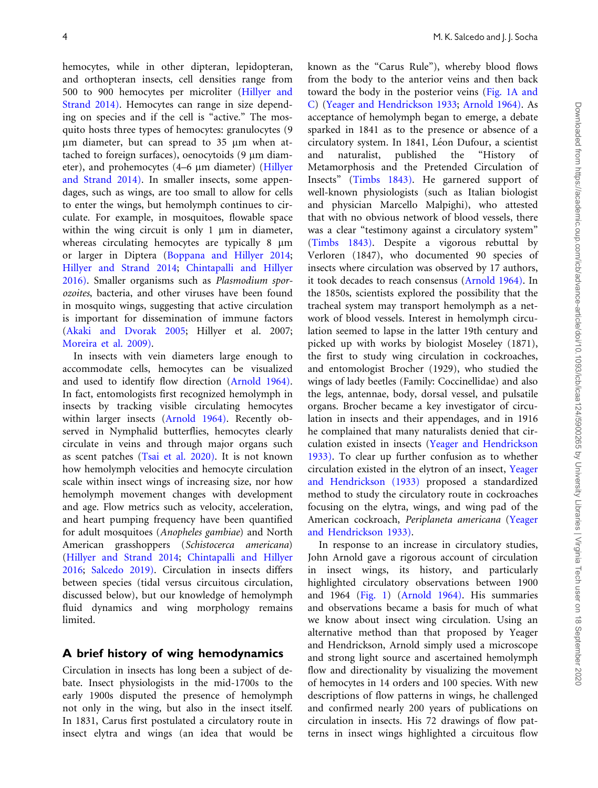hemocytes, while in other dipteran, lepidopteran, and orthopteran insects, cell densities range from 500 to 900 hemocytes per microliter [\(Hillyer and](#page-10-0) [Strand 2014\)](#page-10-0). Hemocytes can range in size depending on species and if the cell is "active." The mosquito hosts three types of hemocytes: granulocytes (9 um diameter, but can spread to 35 um when attached to foreign surfaces), oenocytoids  $(9 \mu m \text{ diam}$ eter), and prohemocytes (4–6 µm diameter) ([Hillyer](#page-10-0) [and Strand 2014\)](#page-10-0). In smaller insects, some appendages, such as wings, are too small to allow for cells to enter the wings, but hemolymph continues to circulate. For example, in mosquitoes, flowable space within the wing circuit is only  $1 \mu m$  in diameter, whereas circulating hemocytes are typically 8  $\mu$ m or larger in Diptera [\(Boppana and Hillyer 2014](#page-10-0); [Hillyer and Strand 2014;](#page-10-0) [Chintapalli and Hillyer](#page-10-0) [2016\)](#page-10-0). Smaller organisms such as Plasmodium sporozoites, bacteria, and other viruses have been found in mosquito wings, suggesting that active circulation is important for dissemination of immune factors [\(Akaki and Dvorak 2005](#page-10-0); Hillyer et al. 2007; [Moreira et al. 2009\)](#page-11-0).

In insects with vein diameters large enough to accommodate cells, hemocytes can be visualized and used to identify flow direction [\(Arnold 1964\)](#page-10-0). In fact, entomologists first recognized hemolymph in insects by tracking visible circulating hemocytes within larger insects [\(Arnold 1964\).](#page-10-0) Recently observed in Nymphalid butterflies, hemocytes clearly circulate in veins and through major organs such as scent patches ([Tsai et al. 2020\)](#page-11-0). It is not known how hemolymph velocities and hemocyte circulation scale within insect wings of increasing size, nor how hemolymph movement changes with development and age. Flow metrics such as velocity, acceleration, and heart pumping frequency have been quantified for adult mosquitoes (Anopheles gambiae) and North American grasshoppers (Schistocerca americana) [\(Hillyer and Strand 2014;](#page-10-0) [Chintapalli and Hillyer](#page-10-0) [2016](#page-10-0); [Salcedo 2019\).](#page-11-0) Circulation in insects differs between species (tidal versus circuitous circulation, discussed below), but our knowledge of hemolymph fluid dynamics and wing morphology remains limited.

#### A brief history of wing hemodynamics

Circulation in insects has long been a subject of debate. Insect physiologists in the mid-1700s to the early 1900s disputed the presence of hemolymph not only in the wing, but also in the insect itself. In 1831, Carus first postulated a circulatory route in insect elytra and wings (an idea that would be known as the "Carus Rule"), whereby blood flows from the body to the anterior veins and then back toward the body in the posterior veins [\(Fig. 1A and](#page-4-0) [C\)](#page-4-0) [\(Yeager and Hendrickson 1933;](#page-12-0) [Arnold 1964\).](#page-10-0) As acceptance of hemolymph began to emerge, a debate sparked in 1841 as to the presence or absence of a circulatory system. In 1841, Léon Dufour, a scientist and naturalist, published the "History of Metamorphosis and the Pretended Circulation of Insects" ([Timbs 1843\)](#page-11-0). He garnered support of well-known physiologists (such as Italian biologist and physician Marcello Malpighi), who attested that with no obvious network of blood vessels, there was a clear "testimony against a circulatory system" ([Timbs 1843\).](#page-11-0) Despite a vigorous rebuttal by Verloren (1847), who documented 90 species of insects where circulation was observed by 17 authors, it took decades to reach consensus ([Arnold 1964\)](#page-10-0). In the 1850s, scientists explored the possibility that the tracheal system may transport hemolymph as a network of blood vessels. Interest in hemolymph circulation seemed to lapse in the latter 19th century and picked up with works by biologist Moseley (1871), the first to study wing circulation in cockroaches, and entomologist Brocher (1929), who studied the wings of lady beetles (Family: Coccinellidae) and also the legs, antennae, body, dorsal vessel, and pulsatile organs. Brocher became a key investigator of circulation in insects and their appendages, and in 1916 he complained that many naturalists denied that circulation existed in insects ([Yeager and Hendrickson](#page-12-0) [1933\).](#page-12-0) To clear up further confusion as to whether circulation existed in the elytron of an insect, [Yeager](#page-12-0) [and Hendrickson \(1933\)](#page-12-0) proposed a standardized method to study the circulatory route in cockroaches focusing on the elytra, wings, and wing pad of the American cockroach, Periplaneta americana [\(Yeager](#page-12-0) [and Hendrickson 1933\).](#page-12-0)

In response to an increase in circulatory studies, John Arnold gave a rigorous account of circulation in insect wings, its history, and particularly highlighted circulatory observations between 1900 and 1964 ([Fig. 1\)](#page-4-0) ([Arnold 1964\).](#page-10-0) His summaries and observations became a basis for much of what we know about insect wing circulation. Using an alternative method than that proposed by Yeager and Hendrickson, Arnold simply used a microscope and strong light source and ascertained hemolymph flow and directionality by visualizing the movement of hemocytes in 14 orders and 100 species. With new descriptions of flow patterns in wings, he challenged and confirmed nearly 200 years of publications on circulation in insects. His 72 drawings of flow patterns in insect wings highlighted a circuitous flow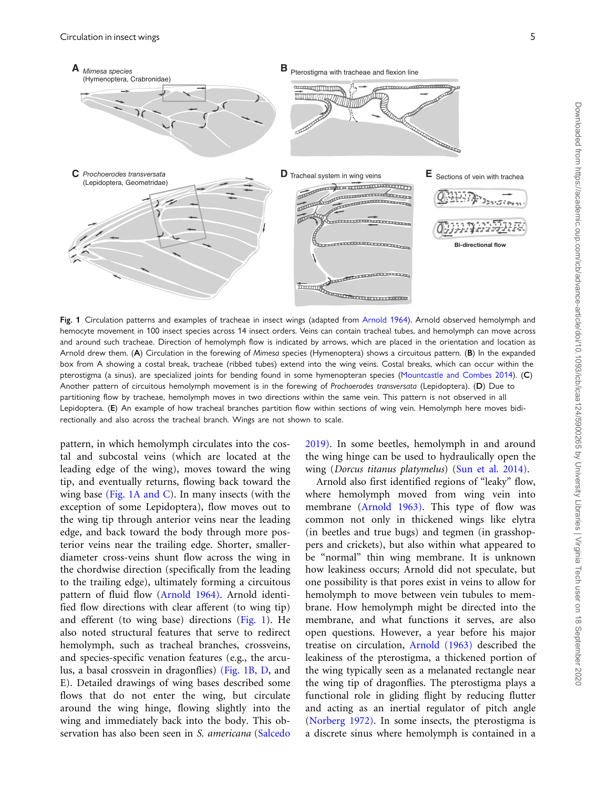<span id="page-4-0"></span>

Fig. 1 Circulation patterns and examples of tracheae in insect wings (adapted from [Arnold 1964\)](#page-10-0). Arnold observed hemolymph and hemocyte movement in 100 insect species across 14 insect orders. Veins can contain tracheal tubes, and hemolymph can move across and around such tracheae. Direction of hemolymph flow is indicated by arrows, which are placed in the orientation and location as Arnold drew them. (A) Circulation in the forewing of Mimesa species (Hymenoptera) shows a circuitous pattern. (B) In the expanded box from A showing a costal break, tracheae (ribbed tubes) extend into the wing veins. Costal breaks, which can occur within the pterostigma (a sinus), are specialized joints for bending found in some hymenopteran species [\(Mountcastle and Combes 2014](#page-11-0)). (C) Another pattern of circuitous hemolymph movement is in the forewing of Prochoerodes transversata (Lepidoptera). (D) Due to partitioning flow by tracheae, hemolymph moves in two directions within the same vein. This pattern is not observed in all Lepidoptera. (E) An example of how tracheal branches partition flow within sections of wing vein. Hemolymph here moves bidirectionally and also across the tracheal branch. Wings are not shown to scale.

pattern, in which hemolymph circulates into the costal and subcostal veins (which are located at the leading edge of the wing), moves toward the wing tip, and eventually returns, flowing back toward the wing base (Fig. 1A and C). In many insects (with the exception of some Lepidoptera), flow moves out to the wing tip through anterior veins near the leading edge, and back toward the body through more posterior veins near the trailing edge. Shorter, smallerdiameter cross-veins shunt flow across the wing in the chordwise direction (specifically from the leading to the trailing edge), ultimately forming a circuitous pattern of fluid flow ([Arnold 1964\)](#page-10-0). Arnold identified flow directions with clear afferent (to wing tip) and efferent (to wing base) directions (Fig. 1). He also noted structural features that serve to redirect hemolymph, such as tracheal branches, crossveins, and species-specific venation features (e.g., the arculus, a basal crossvein in dragonflies) (Fig. 1B, D, and E). Detailed drawings of wing bases described some flows that do not enter the wing, but circulate around the wing hinge, flowing slightly into the wing and immediately back into the body. This ob-servation has also been seen in S. americana [\(Salcedo](#page-11-0) [2019\)](#page-11-0). In some beetles, hemolymph in and around the wing hinge can be used to hydraulically open the wing (Dorcus titanus platymelus) [\(Sun et al. 2014\).](#page-11-0)

Arnold also first identified regions of "leaky" flow, where hemolymph moved from wing vein into membrane [\(Arnold 1963\)](#page-10-0). This type of flow was common not only in thickened wings like elytra (in beetles and true bugs) and tegmen (in grasshoppers and crickets), but also within what appeared to be "normal" thin wing membrane. It is unknown how leakiness occurs; Arnold did not speculate, but one possibility is that pores exist in veins to allow for hemolymph to move between vein tubules to membrane. How hemolymph might be directed into the membrane, and what functions it serves, are also open questions. However, a year before his major treatise on circulation, [Arnold \(1963\)](#page-10-0) described the leakiness of the pterostigma, a thickened portion of the wing typically seen as a melanated rectangle near the wing tip of dragonflies. The pterostigma plays a functional role in gliding flight by reducing flutter and acting as an inertial regulator of pitch angle [\(Norberg 1972\)](#page-11-0). In some insects, the pterostigma is a discrete sinus where hemolymph is contained in a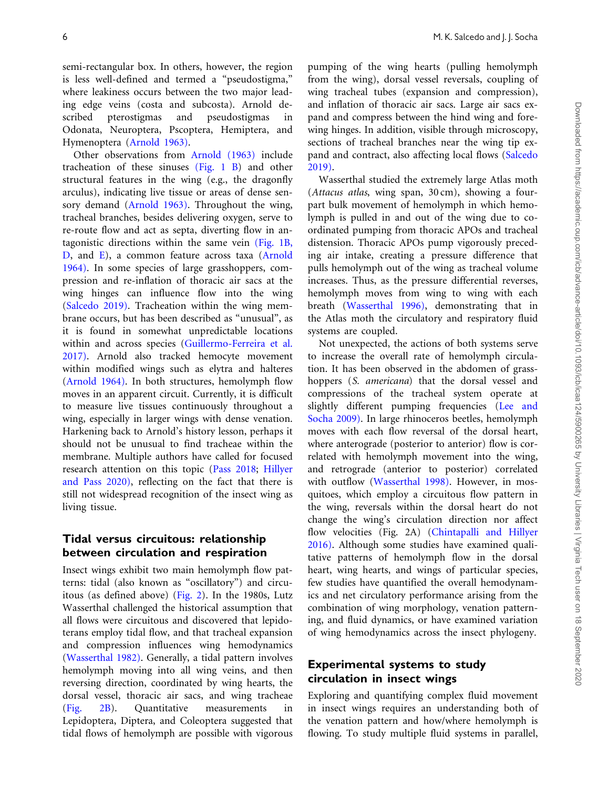semi-rectangular box. In others, however, the region is less well-defined and termed a "pseudostigma," where leakiness occurs between the two major leading edge veins (costa and subcosta). Arnold described pterostigmas and pseudostigmas in Odonata, Neuroptera, Pscoptera, Hemiptera, and Hymenoptera ([Arnold 1963\).](#page-10-0)

Other observations from [Arnold \(1963\)](#page-10-0) include tracheation of these sinuses [\(Fig. 1 B](#page-4-0)) and other structural features in the wing (e.g., the dragonfly arculus), indicating live tissue or areas of dense sensory demand ([Arnold 1963\)](#page-10-0). Throughout the wing, tracheal branches, besides delivering oxygen, serve to re-route flow and act as septa, diverting flow in antagonistic directions within the same vein [\(Fig. 1B,](#page-4-0) [D,](#page-4-0) and [E](#page-4-0)), a common feature across taxa ([Arnold](#page-10-0) [1964\)](#page-10-0). In some species of large grasshoppers, compression and re-inflation of thoracic air sacs at the wing hinges can influence flow into the wing [\(Salcedo 2019\).](#page-11-0) Tracheation within the wing membrane occurs, but has been described as "unusual", as it is found in somewhat unpredictable locations within and across species [\(Guillermo-Ferreira et al.](#page-10-0) [2017\)](#page-10-0). Arnold also tracked hemocyte movement within modified wings such as elytra and halteres [\(Arnold 1964\)](#page-10-0). In both structures, hemolymph flow moves in an apparent circuit. Currently, it is difficult to measure live tissues continuously throughout a wing, especially in larger wings with dense venation. Harkening back to Arnold's history lesson, perhaps it should not be unusual to find tracheae within the membrane. Multiple authors have called for focused research attention on this topic [\(Pass 2018](#page-11-0); [Hillyer](#page-10-0) [and Pass 2020\),](#page-10-0) reflecting on the fact that there is still not widespread recognition of the insect wing as living tissue.

#### Tidal versus circuitous: relationship between circulation and respiration

Insect wings exhibit two main hemolymph flow patterns: tidal (also known as "oscillatory") and circuitous (as defined above) ([Fig. 2](#page-6-0)). In the 1980s, Lutz Wasserthal challenged the historical assumption that all flows were circuitous and discovered that lepidoterans employ tidal flow, and that tracheal expansion and compression influences wing hemodynamics [\(Wasserthal 1982\).](#page-12-0) Generally, a tidal pattern involves hemolymph moving into all wing veins, and then reversing direction, coordinated by wing hearts, the dorsal vessel, thoracic air sacs, and wing tracheae [\(Fig. 2B\)](#page-6-0). Quantitative measurements in Lepidoptera, Diptera, and Coleoptera suggested that tidal flows of hemolymph are possible with vigorous

pumping of the wing hearts (pulling hemolymph from the wing), dorsal vessel reversals, coupling of wing tracheal tubes (expansion and compression), and inflation of thoracic air sacs. Large air sacs expand and compress between the hind wing and forewing hinges. In addition, visible through microscopy, sections of tracheal branches near the wing tip expand and contract, also affecting local flows [\(Salcedo](#page-11-0) [2019\).](#page-11-0)

Wasserthal studied the extremely large Atlas moth (Attacus atlas, wing span, 30 cm), showing a fourpart bulk movement of hemolymph in which hemolymph is pulled in and out of the wing due to coordinated pumping from thoracic APOs and tracheal distension. Thoracic APOs pump vigorously preceding air intake, creating a pressure difference that pulls hemolymph out of the wing as tracheal volume increases. Thus, as the pressure differential reverses, hemolymph moves from wing to wing with each breath [\(Wasserthal 1996\),](#page-12-0) demonstrating that in the Atlas moth the circulatory and respiratory fluid systems are coupled.

Not unexpected, the actions of both systems serve to increase the overall rate of hemolymph circulation. It has been observed in the abdomen of grasshoppers (S. *americana*) that the dorsal vessel and compressions of the tracheal system operate at slightly different pumping frequencies ([Lee and](#page-11-0) [Socha 2009\)](#page-11-0). In large rhinoceros beetles, hemolymph moves with each flow reversal of the dorsal heart, where anterograde (posterior to anterior) flow is correlated with hemolymph movement into the wing, and retrograde (anterior to posterior) correlated with outflow [\(Wasserthal 1998\)](#page-12-0). However, in mosquitoes, which employ a circuitous flow pattern in the wing, reversals within the dorsal heart do not change the wing's circulation direction nor affect flow velocities (Fig. 2A) ([Chintapalli and Hillyer](#page-10-0) [2016\).](#page-10-0) Although some studies have examined qualitative patterns of hemolymph flow in the dorsal heart, wing hearts, and wings of particular species, few studies have quantified the overall hemodynamics and net circulatory performance arising from the combination of wing morphology, venation patterning, and fluid dynamics, or have examined variation of wing hemodynamics across the insect phylogeny.

#### Experimental systems to study circulation in insect wings

Exploring and quantifying complex fluid movement in insect wings requires an understanding both of the venation pattern and how/where hemolymph is flowing. To study multiple fluid systems in parallel,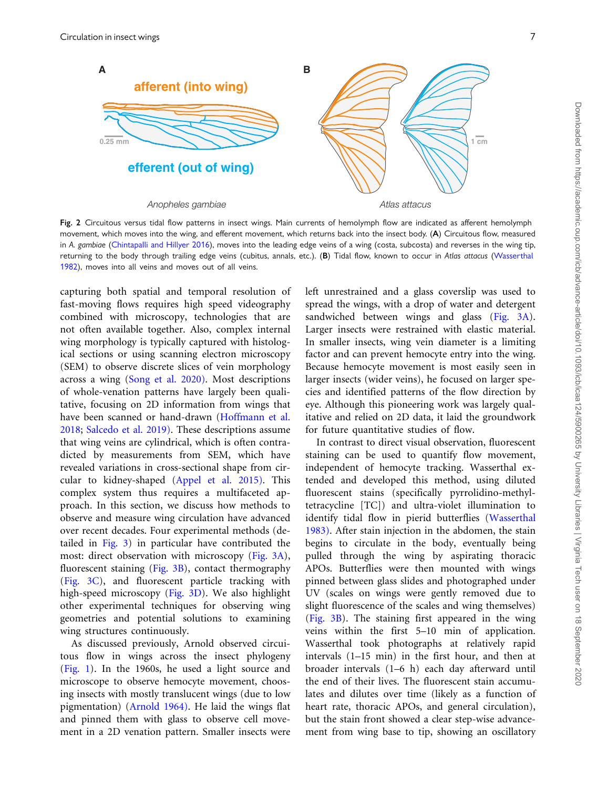<span id="page-6-0"></span>

Fig. 2 Circuitous versus tidal flow patterns in insect wings. Main currents of hemolymph flow are indicated as afferent hemolymph movement, which moves into the wing, and efferent movement, which returns back into the insect body. (A) Circuitous flow, measured in A. gambiae ([Chintapalli and Hillyer 2016](#page-10-0)), moves into the leading edge veins of a wing (costa, subcosta) and reverses in the wing tip, returning to the body through trailing edge veins (cubitus, annals, etc.). (B) Tidal flow, known to occur in Atlas attacus ([Wasserthal](#page-12-0) [1982](#page-12-0)), moves into all veins and moves out of all veins.

capturing both spatial and temporal resolution of fast-moving flows requires high speed videography combined with microscopy, technologies that are not often available together. Also, complex internal wing morphology is typically captured with histological sections or using scanning electron microscopy (SEM) to observe discrete slices of vein morphology across a wing ([Song et al. 2020\).](#page-11-0) Most descriptions of whole-venation patterns have largely been qualitative, focusing on 2D information from wings that have been scanned or hand-drawn ([Hoffmann et al.](#page-10-0) [2018;](#page-10-0) [Salcedo et al. 2019\)](#page-11-0). These descriptions assume that wing veins are cylindrical, which is often contradicted by measurements from SEM, which have revealed variations in cross-sectional shape from circular to kidney-shaped ([Appel et al. 2015\).](#page-10-0) This complex system thus requires a multifaceted approach. In this section, we discuss how methods to observe and measure wing circulation have advanced over recent decades. Four experimental methods (detailed in [Fig. 3](#page-7-0)) in particular have contributed the most: direct observation with microscopy [\(Fig. 3A\)](#page-7-0), fluorescent staining ([Fig. 3B\)](#page-7-0), contact thermography ([Fig. 3C](#page-7-0)), and fluorescent particle tracking with high-speed microscopy ([Fig. 3D](#page-7-0)). We also highlight other experimental techniques for observing wing geometries and potential solutions to examining wing structures continuously.

As discussed previously, Arnold observed circuitous flow in wings across the insect phylogeny ([Fig. 1\)](#page-4-0). In the 1960s, he used a light source and microscope to observe hemocyte movement, choosing insects with mostly translucent wings (due to low pigmentation) ([Arnold 1964\).](#page-10-0) He laid the wings flat and pinned them with glass to observe cell movement in a 2D venation pattern. Smaller insects were left unrestrained and a glass coverslip was used to spread the wings, with a drop of water and detergent sandwiched between wings and glass [\(Fig. 3A\)](#page-7-0). Larger insects were restrained with elastic material. In smaller insects, wing vein diameter is a limiting factor and can prevent hemocyte entry into the wing. Because hemocyte movement is most easily seen in larger insects (wider veins), he focused on larger species and identified patterns of the flow direction by eye. Although this pioneering work was largely qualitative and relied on 2D data, it laid the groundwork for future quantitative studies of flow.

In contrast to direct visual observation, fluorescent staining can be used to quantify flow movement, independent of hemocyte tracking. Wasserthal extended and developed this method, using diluted fluorescent stains (specifically pyrrolidino-methyltetracycline [TC]) and ultra-violet illumination to identify tidal flow in pierid butterflies ([Wasserthal](#page-12-0) [1983\)](#page-12-0). After stain injection in the abdomen, the stain begins to circulate in the body, eventually being pulled through the wing by aspirating thoracic APOs. Butterflies were then mounted with wings pinned between glass slides and photographed under UV (scales on wings were gently removed due to slight fluorescence of the scales and wing themselves) [\(Fig. 3B\)](#page-7-0). The staining first appeared in the wing veins within the first 5–10 min of application. Wasserthal took photographs at relatively rapid intervals (1–15 min) in the first hour, and then at broader intervals (1–6 h) each day afterward until the end of their lives. The fluorescent stain accumulates and dilutes over time (likely as a function of heart rate, thoracic APOs, and general circulation), but the stain front showed a clear step-wise advancement from wing base to tip, showing an oscillatory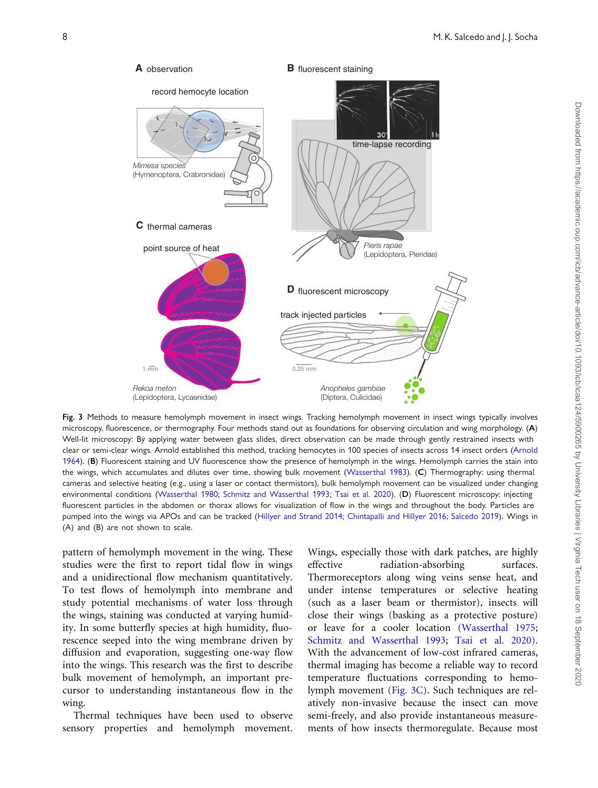<span id="page-7-0"></span>

Fig. 3 Methods to measure hemolymph movement in insect wings. Tracking hemolymph movement in insect wings typically involves microscopy, fluorescence, or thermography. Four methods stand out as foundations for observing circulation and wing morphology. (A) Well-lit microscopy: By applying water between glass slides, direct observation can be made through gently restrained insects with clear or semi-clear wings. Arnold established this method, tracking hemocytes in 100 species of insects across 14 insect orders ([Arnold](#page-10-0) [1964](#page-10-0)). (B) Fluorescent staining and UV fluorescence show the presence of hemolymph in the wings. Hemolymph carries the stain into the wings, which accumulates and dilutes over time, showing bulk movement [\(Wasserthal 1983](#page-12-0)). (C) Thermography: using thermal cameras and selective heating (e.g., using a laser or contact thermistors), bulk hemolymph movement can be visualized under changing environmental conditions ([Wasserthal 1980;](#page-12-0) [Schmitz and Wasserthal 1993;](#page-11-0) [Tsai et al. 2020\)](#page-11-0). (D) Fluorescent microscopy: injecting fluorescent particles in the abdomen or thorax allows for visualization of flow in the wings and throughout the body. Particles are pumped into the wings via APOs and can be tracked ([Hillyer and Strand 2014](#page-10-0); [Chintapalli and Hillyer 2016;](#page-10-0) [Salcedo 2019](#page-11-0)). Wings in (A) and (B) are not shown to scale.

pattern of hemolymph movement in the wing. These studies were the first to report tidal flow in wings and a unidirectional flow mechanism quantitatively. To test flows of hemolymph into membrane and study potential mechanisms of water loss through the wings, staining was conducted at varying humidity. In some butterfly species at high humidity, fluorescence seeped into the wing membrane driven by diffusion and evaporation, suggesting one-way flow into the wings. This research was the first to describe bulk movement of hemolymph, an important precursor to understanding instantaneous flow in the wing.

Thermal techniques have been used to observe sensory properties and hemolymph movement.

Wings, especially those with dark patches, are highly effective radiation-absorbing surfaces. Thermoreceptors along wing veins sense heat, and under intense temperatures or selective heating (such as a laser beam or thermistor), insects will close their wings (basking as a protective posture) or leave for a cooler location ([Wasserthal 1975;](#page-12-0) [Schmitz and Wasserthal 1993;](#page-11-0) [Tsai et al. 2020\).](#page-11-0) With the advancement of low-cost infrared cameras, thermal imaging has become a reliable way to record temperature fluctuations corresponding to hemolymph movement (Fig. 3C). Such techniques are relatively non-invasive because the insect can move semi-freely, and also provide instantaneous measurements of how insects thermoregulate. Because most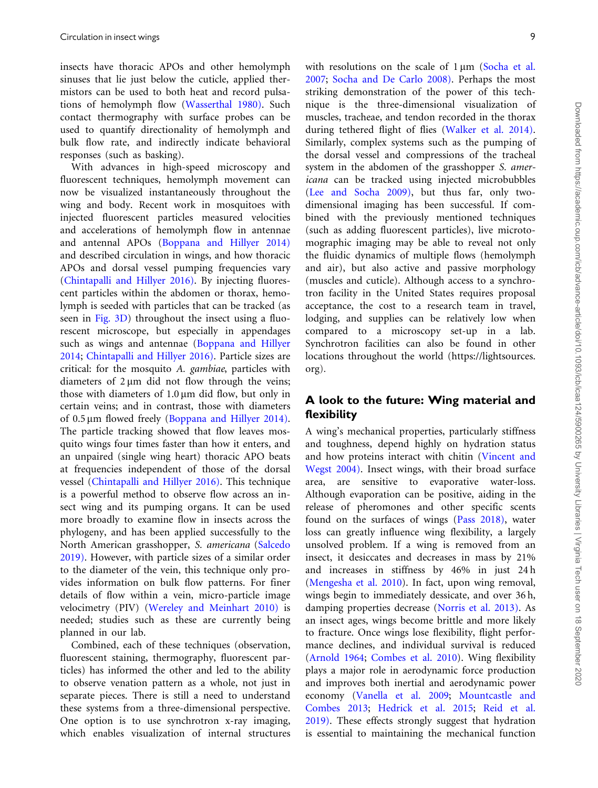insects have thoracic APOs and other hemolymph sinuses that lie just below the cuticle, applied thermistors can be used to both heat and record pulsations of hemolymph flow [\(Wasserthal 1980\).](#page-12-0) Such contact thermography with surface probes can be used to quantify directionality of hemolymph and bulk flow rate, and indirectly indicate behavioral responses (such as basking).

With advances in high-speed microscopy and fluorescent techniques, hemolymph movement can now be visualized instantaneously throughout the wing and body. Recent work in mosquitoes with injected fluorescent particles measured velocities and accelerations of hemolymph flow in antennae and antennal APOs [\(Boppana and Hillyer 2014\)](#page-10-0) and described circulation in wings, and how thoracic APOs and dorsal vessel pumping frequencies vary ([Chintapalli and Hillyer 2016\).](#page-10-0) By injecting fluorescent particles within the abdomen or thorax, hemolymph is seeded with particles that can be tracked (as seen in [Fig. 3D\)](#page-7-0) throughout the insect using a fluorescent microscope, but especially in appendages such as wings and antennae ([Boppana and Hillyer](#page-10-0) [2014;](#page-10-0) [Chintapalli and Hillyer 2016\)](#page-10-0). Particle sizes are critical: for the mosquito A. gambiae, particles with diameters of  $2 \mu m$  did not flow through the veins; those with diameters of  $1.0 \mu m$  did flow, but only in certain veins; and in contrast, those with diameters of 0.5 µm flowed freely ([Boppana and Hillyer 2014\).](#page-10-0) The particle tracking showed that flow leaves mosquito wings four times faster than how it enters, and an unpaired (single wing heart) thoracic APO beats at frequencies independent of those of the dorsal vessel [\(Chintapalli and Hillyer 2016\)](#page-10-0). This technique is a powerful method to observe flow across an insect wing and its pumping organs. It can be used more broadly to examine flow in insects across the phylogeny, and has been applied successfully to the North American grasshopper, S. americana [\(Salcedo](#page-11-0) [2019\).](#page-11-0) However, with particle sizes of a similar order to the diameter of the vein, this technique only provides information on bulk flow patterns. For finer details of flow within a vein, micro-particle image velocimetry (PIV) ([Wereley and Meinhart 2010\)](#page-12-0) is needed; studies such as these are currently being planned in our lab.

Combined, each of these techniques (observation, fluorescent staining, thermography, fluorescent particles) has informed the other and led to the ability to observe venation pattern as a whole, not just in separate pieces. There is still a need to understand these systems from a three-dimensional perspective. One option is to use synchrotron x-ray imaging, which enables visualization of internal structures

with resolutions on the scale of  $1 \mu m$  [\(Socha et al.](#page-11-0) [2007](#page-11-0); [Socha and De Carlo 2008\)](#page-11-0). Perhaps the most striking demonstration of the power of this technique is the three-dimensional visualization of muscles, tracheae, and tendon recorded in the thorax during tethered flight of flies ([Walker et al. 2014\).](#page-11-0) Similarly, complex systems such as the pumping of the dorsal vessel and compressions of the tracheal system in the abdomen of the grasshopper S. americana can be tracked using injected microbubbles [\(Lee and Socha 2009\)](#page-11-0), but thus far, only twodimensional imaging has been successful. If combined with the previously mentioned techniques (such as adding fluorescent particles), live microtomographic imaging may be able to reveal not only the fluidic dynamics of multiple flows (hemolymph and air), but also active and passive morphology (muscles and cuticle). Although access to a synchrotron facility in the United States requires proposal acceptance, the cost to a research team in travel, lodging, and supplies can be relatively low when compared to a microscopy set-up in a lab. Synchrotron facilities can also be found in other locations throughout the world ([https://lightsources.](https://lightsources.org) [org](https://lightsources.org)).

#### A look to the future: Wing material and flexibility

A wing's mechanical properties, particularly stiffness and toughness, depend highly on hydration status and how proteins interact with chitin [\(Vincent and](#page-11-0) [Wegst 2004\).](#page-11-0) Insect wings, with their broad surface area, are sensitive to evaporative water-loss. Although evaporation can be positive, aiding in the release of pheromones and other specific scents found on the surfaces of wings [\(Pass 2018\)](#page-11-0), water loss can greatly influence wing flexibility, a largely unsolved problem. If a wing is removed from an insect, it desiccates and decreases in mass by 21% and increases in stiffness by 46% in just 24 h [\(Mengesha et al. 2010](#page-11-0)). In fact, upon wing removal, wings begin to immediately dessicate, and over 36 h, damping properties decrease ([Norris et al. 2013\)](#page-11-0). As an insect ages, wings become brittle and more likely to fracture. Once wings lose flexibility, flight performance declines, and individual survival is reduced [\(Arnold 1964;](#page-10-0) [Combes et al. 2010\)](#page-10-0). Wing flexibility plays a major role in aerodynamic force production and improves both inertial and aerodynamic power economy ([Vanella et al. 2009;](#page-11-0) [Mountcastle and](#page-11-0) [Combes 2013](#page-11-0); [Hedrick et al. 2015;](#page-10-0) [Reid et al.](#page-11-0) [2019\)](#page-11-0). These effects strongly suggest that hydration is essential to maintaining the mechanical function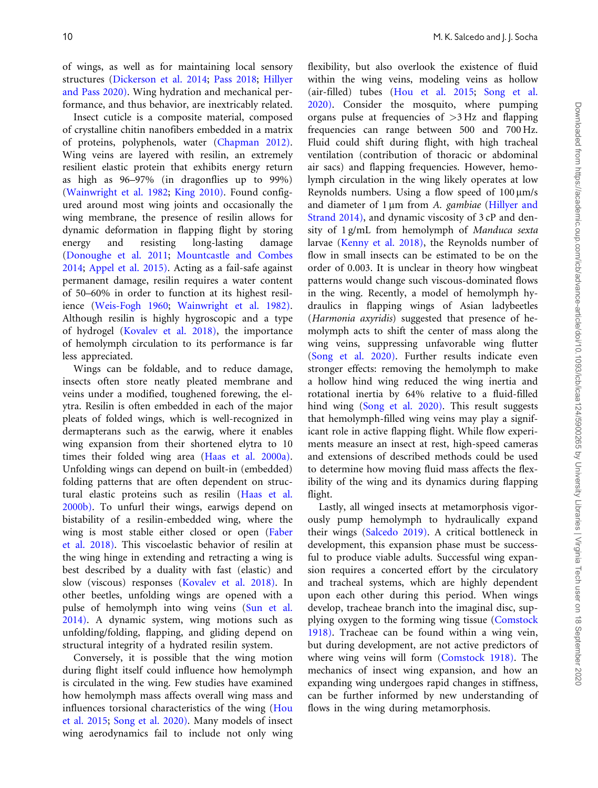of wings, as well as for maintaining local sensory structures [\(Dickerson et al. 2014;](#page-10-0) [Pass 2018;](#page-11-0) [Hillyer](#page-10-0) [and Pass 2020\)](#page-10-0). Wing hydration and mechanical performance, and thus behavior, are inextricably related.

Insect cuticle is a composite material, composed of crystalline chitin nanofibers embedded in a matrix of proteins, polyphenols, water ([Chapman 2012\)](#page-10-0). Wing veins are layered with resilin, an extremely resilient elastic protein that exhibits energy return as high as 96–97% (in dragonflies up to 99%) [\(Wainwright et al. 1982;](#page-11-0) [King 2010\).](#page-11-0) Found configured around most wing joints and occasionally the wing membrane, the presence of resilin allows for dynamic deformation in flapping flight by storing energy and resisting long-lasting damage [\(Donoughe et al. 2011;](#page-10-0) [Mountcastle and Combes](#page-11-0) [2014](#page-11-0); [Appel et al. 2015\)](#page-10-0). Acting as a fail-safe against permanent damage, resilin requires a water content of 50–60% in order to function at its highest resilience [\(Weis-Fogh 1960;](#page-12-0) [Wainwright et al. 1982\)](#page-11-0). Although resilin is highly hygroscopic and a type of hydrogel ([Kovalev et al. 2018\),](#page-11-0) the importance of hemolymph circulation to its performance is far less appreciated.

Wings can be foldable, and to reduce damage, insects often store neatly pleated membrane and veins under a modified, toughened forewing, the elytra. Resilin is often embedded in each of the major pleats of folded wings, which is well-recognized in dermapterans such as the earwig, where it enables wing expansion from their shortened elytra to 10 times their folded wing area [\(Haas et al. 2000a\)](#page-10-0). Unfolding wings can depend on built-in (embedded) folding patterns that are often dependent on structural elastic proteins such as resilin [\(Haas et al.](#page-10-0) [2000b\)](#page-10-0). To unfurl their wings, earwigs depend on bistability of a resilin-embedded wing, where the wing is most stable either closed or open [\(Faber](#page-10-0) [et al. 2018\)](#page-10-0). This viscoelastic behavior of resilin at the wing hinge in extending and retracting a wing is best described by a duality with fast (elastic) and slow (viscous) responses [\(Kovalev et al. 2018\)](#page-11-0). In other beetles, unfolding wings are opened with a pulse of hemolymph into wing veins [\(Sun et al.](#page-11-0) [2014\)](#page-11-0). A dynamic system, wing motions such as unfolding/folding, flapping, and gliding depend on structural integrity of a hydrated resilin system.

Conversely, it is possible that the wing motion during flight itself could influence how hemolymph is circulated in the wing. Few studies have examined how hemolymph mass affects overall wing mass and influences torsional characteristics of the wing ([Hou](#page-10-0) [et al. 2015;](#page-10-0) [Song et al. 2020\)](#page-11-0). Many models of insect wing aerodynamics fail to include not only wing

flexibility, but also overlook the existence of fluid within the wing veins, modeling veins as hollow (air-filled) tubes [\(Hou et al. 2015;](#page-10-0) [Song et al.](#page-11-0) [2020\).](#page-11-0) Consider the mosquito, where pumping organs pulse at frequencies of  $>3$  Hz and flapping frequencies can range between 500 and 700 Hz. Fluid could shift during flight, with high tracheal ventilation (contribution of thoracic or abdominal air sacs) and flapping frequencies. However, hemolymph circulation in the wing likely operates at low Reynolds numbers. Using a flow speed of  $100 \mu m/s$ and diameter of  $1 \mu m$  from A. gambiae [\(Hillyer and](#page-10-0) [Strand 2014\),](#page-10-0) and dynamic viscosity of 3 cP and density of 1 g/mL from hemolymph of Manduca sexta larvae ([Kenny et al. 2018\)](#page-11-0), the Reynolds number of flow in small insects can be estimated to be on the order of 0.003. It is unclear in theory how wingbeat patterns would change such viscous-dominated flows in the wing. Recently, a model of hemolymph hydraulics in flapping wings of Asian ladybeetles (Harmonia axyridis) suggested that presence of hemolymph acts to shift the center of mass along the wing veins, suppressing unfavorable wing flutter ([Song et al. 2020\).](#page-11-0) Further results indicate even stronger effects: removing the hemolymph to make a hollow hind wing reduced the wing inertia and rotational inertia by 64% relative to a fluid-filled hind wing ([Song et al. 2020\)](#page-11-0). This result suggests that hemolymph-filled wing veins may play a significant role in active flapping flight. While flow experiments measure an insect at rest, high-speed cameras and extensions of described methods could be used to determine how moving fluid mass affects the flexibility of the wing and its dynamics during flapping flight.

Lastly, all winged insects at metamorphosis vigorously pump hemolymph to hydraulically expand their wings [\(Salcedo 2019\)](#page-11-0). A critical bottleneck in development, this expansion phase must be successful to produce viable adults. Successful wing expansion requires a concerted effort by the circulatory and tracheal systems, which are highly dependent upon each other during this period. When wings develop, tracheae branch into the imaginal disc, supplying oxygen to the forming wing tissue [\(Comstock](#page-10-0) [1918\).](#page-10-0) Tracheae can be found within a wing vein, but during development, are not active predictors of where wing veins will form [\(Comstock 1918\)](#page-10-0). The mechanics of insect wing expansion, and how an expanding wing undergoes rapid changes in stiffness, can be further informed by new understanding of flows in the wing during metamorphosis.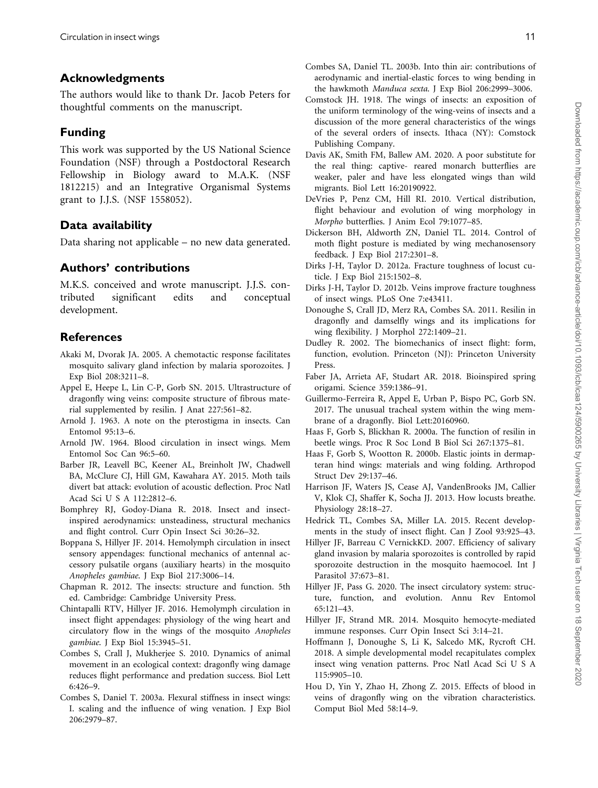#### <span id="page-10-0"></span>Acknowledgments

The authors would like to thank Dr. Jacob Peters for thoughtful comments on the manuscript.

#### Funding

This work was supported by the US National Science Foundation (NSF) through a Postdoctoral Research Fellowship in Biology award to M.A.K. (NSF 1812215) and an Integrative Organismal Systems grant to J.J.S. (NSF 1558052).

### Data availability

Data sharing not applicable – no new data generated.

#### Authors' contributions

M.K.S. conceived and wrote manuscript. J.J.S. contributed significant edits and conceptual development.

## **References**

- Akaki M, Dvorak JA. 2005. A chemotactic response facilitates mosquito salivary gland infection by malaria sporozoites. J Exp Biol 208:3211–8.
- Appel E, Heepe L, Lin C-P, Gorb SN. 2015. Ultrastructure of dragonfly wing veins: composite structure of fibrous material supplemented by resilin. J Anat 227:561–82.
- Arnold J. 1963. A note on the pterostigma in insects. Can Entomol 95:13–6.
- Arnold JW. 1964. Blood circulation in insect wings. Mem Entomol Soc Can 96:5–60.
- Barber JR, Leavell BC, Keener AL, Breinholt JW, Chadwell BA, McClure CJ, Hill GM, Kawahara AY. 2015. Moth tails divert bat attack: evolution of acoustic deflection. Proc Natl Acad Sci U S A 112:2812–6.
- Bomphrey RJ, Godoy-Diana R. 2018. Insect and insectinspired aerodynamics: unsteadiness, structural mechanics and flight control. Curr Opin Insect Sci 30:26–32.
- Boppana S, Hillyer JF. 2014. Hemolymph circulation in insect sensory appendages: functional mechanics of antennal accessory pulsatile organs (auxiliary hearts) in the mosquito Anopheles gambiae. J Exp Biol 217:3006–14.
- Chapman R. 2012. The insects: structure and function. 5th ed. Cambridge: Cambridge University Press.
- Chintapalli RTV, Hillyer JF. 2016. Hemolymph circulation in insect flight appendages: physiology of the wing heart and circulatory flow in the wings of the mosquito Anopheles gambiae. J Exp Biol 15:3945–51.
- Combes S, Crall J, Mukherjee S. 2010. Dynamics of animal movement in an ecological context: dragonfly wing damage reduces flight performance and predation success. Biol Lett 6:426–9.
- Combes S, Daniel T. 2003a. Flexural stiffness in insect wings: I. scaling and the influence of wing venation. J Exp Biol 206:2979–87.
- Combes SA, Daniel TL. 2003b. Into thin air: contributions of aerodynamic and inertial-elastic forces to wing bending in the hawkmoth Manduca sexta. J Exp Biol 206:2999–3006.
- Comstock JH. 1918. The wings of insects: an exposition of the uniform terminology of the wing-veins of insects and a discussion of the more general characteristics of the wings of the several orders of insects. Ithaca (NY): Comstock Publishing Company.
- Davis AK, Smith FM, Ballew AM. 2020. A poor substitute for the real thing: captive- reared monarch butterflies are weaker, paler and have less elongated wings than wild migrants. Biol Lett 16:20190922.
- DeVries P, Penz CM, Hill RI. 2010. Vertical distribution, flight behaviour and evolution of wing morphology in Morpho butterflies. J Anim Ecol 79:1077–85.
- Dickerson BH, Aldworth ZN, Daniel TL. 2014. Control of moth flight posture is mediated by wing mechanosensory feedback. J Exp Biol 217:2301–8.
- Dirks J-H, Taylor D. 2012a. Fracture toughness of locust cuticle. J Exp Biol 215:1502–8.
- Dirks J-H, Taylor D. 2012b. Veins improve fracture toughness of insect wings. PLoS One 7:e43411.
- Donoughe S, Crall JD, Merz RA, Combes SA. 2011. Resilin in dragonfly and damselfly wings and its implications for wing flexibility. J Morphol 272:1409–21.
- Dudley R. 2002. The biomechanics of insect flight: form, function, evolution. Princeton (NJ): Princeton University Press.
- Faber JA, Arrieta AF, Studart AR. 2018. Bioinspired spring origami. Science 359:1386–91.
- Guillermo-Ferreira R, Appel E, Urban P, Bispo PC, Gorb SN. 2017. The unusual tracheal system within the wing membrane of a dragonfly. Biol Lett:20160960.
- Haas F, Gorb S, Blickhan R. 2000a. The function of resilin in beetle wings. Proc R Soc Lond B Biol Sci 267:1375–81.
- Haas F, Gorb S, Wootton R. 2000b. Elastic joints in dermapteran hind wings: materials and wing folding. Arthropod Struct Dev 29:137–46.
- Harrison JF, Waters JS, Cease AJ, VandenBrooks JM, Callier V, Klok CJ, Shaffer K, Socha JJ. 2013. How locusts breathe. Physiology 28:18–27.
- Hedrick TL, Combes SA, Miller LA. 2015. Recent developments in the study of insect flight. Can J Zool 93:925–43.
- Hillyer JF, Barreau C VernickKD. 2007. Efficiency of salivary gland invasion by malaria sporozoites is controlled by rapid sporozoite destruction in the mosquito haemocoel. Int J Parasitol 37:673–81.
- Hillyer JF, Pass G. 2020. The insect circulatory system: structure, function, and evolution. Annu Rev Entomol 65:121–43.
- Hillyer JF, Strand MR. 2014. Mosquito hemocyte-mediated immune responses. Curr Opin Insect Sci 3:14–21.
- Hoffmann J, Donoughe S, Li K, Salcedo MK, Rycroft CH. 2018. A simple developmental model recapitulates complex insect wing venation patterns. Proc Natl Acad Sci U S A 115:9905–10.
- Hou D, Yin Y, Zhao H, Zhong Z. 2015. Effects of blood in veins of dragonfly wing on the vibration characteristics. Comput Biol Med 58:14–9.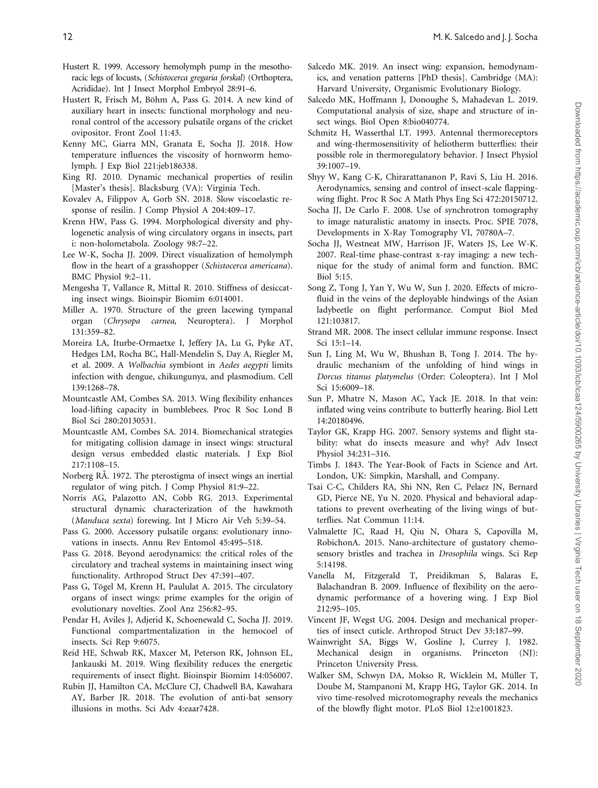- <span id="page-11-0"></span>Hustert R. 1999. Accessory hemolymph pump in the mesothoracic legs of locusts, (Schistocerca gregaria forskal) (Orthoptera, Acrididae). Int J Insect Morphol Embryol 28:91–6.
- Hustert R, Frisch M, Böhm A, Pass G. 2014. A new kind of auxiliary heart in insects: functional morphology and neuronal control of the accessory pulsatile organs of the cricket ovipositor. Front Zool 11:43.
- Kenny MC, Giarra MN, Granata E, Socha JJ. 2018. How temperature influences the viscosity of hornworm hemolymph. J Exp Biol 221:jeb186338.
- King RJ. 2010. Dynamic mechanical properties of resilin [Master's thesis]. Blacksburg (VA): Virginia Tech.
- Kovalev A, Filippov A, Gorb SN. 2018. Slow viscoelastic response of resilin. J Comp Physiol A 204:409–17.
- Krenn HW, Pass G. 1994. Morphological diversity and phylogenetic analysis of wing circulatory organs in insects, part i: non-holometabola. Zoology 98:7–22.
- Lee W-K, Socha JJ. 2009. Direct visualization of hemolymph flow in the heart of a grasshopper (Schistocerca americana). BMC Physiol 9:2–11.
- Mengesha T, Vallance R, Mittal R. 2010. Stiffness of desiccating insect wings. Bioinspir Biomim 6:014001.
- Miller A. 1970. Structure of the green lacewing tympanal organ (Chrysopa carnea, Neuroptera). J Morphol 131:359–82.
- Moreira LA, Iturbe-Ormaetxe I, Jeffery JA, Lu G, Pyke AT, Hedges LM, Rocha BC, Hall-Mendelin S, Day A, Riegler M, et al. 2009. A Wolbachia symbiont in Aedes aegypti limits infection with dengue, chikungunya, and plasmodium. Cell 139:1268–78.
- Mountcastle AM, Combes SA. 2013. Wing flexibility enhances load-lifting capacity in bumblebees. Proc R Soc Lond B Biol Sci 280:20130531.
- Mountcastle AM, Combes SA. 2014. Biomechanical strategies for mitigating collision damage in insect wings: structural design versus embedded elastic materials. J Exp Biol 217:1108–15.
- Norberg RÅ. 1972. The pterostigma of insect wings an inertial regulator of wing pitch. J Comp Physiol 81:9–22.
- Norris AG, Palazotto AN, Cobb RG. 2013. Experimental structural dynamic characterization of the hawkmoth (Manduca sexta) forewing. Int J Micro Air Veh 5:39–54.
- Pass G. 2000. Accessory pulsatile organs: evolutionary innovations in insects. Annu Rev Entomol 45:495–518.
- Pass G. 2018. Beyond aerodynamics: the critical roles of the circulatory and tracheal systems in maintaining insect wing functionality. Arthropod Struct Dev 47:391–407.
- Pass G, Tögel M, Krenn H, Paululat A. 2015. The circulatory organs of insect wings: prime examples for the origin of evolutionary novelties. Zool Anz 256:82–95.
- Pendar H, Aviles J, Adjerid K, Schoenewald C, Socha JJ. 2019. Functional compartmentalization in the hemocoel of insects. Sci Rep 9:6075.
- Reid HE, Schwab RK, Maxcer M, Peterson RK, Johnson EL, Jankauski M. 2019. Wing flexibility reduces the energetic requirements of insect flight. Bioinspir Biomim 14:056007.
- Rubin JJ, Hamilton CA, McClure CJ, Chadwell BA, Kawahara AY, Barber JR. 2018. The evolution of anti-bat sensory illusions in moths. Sci Adv 4:eaar7428.
- Salcedo MK. 2019. An insect wing: expansion, hemodynamics, and venation patterns [PhD thesis]. Cambridge (MA): Harvard University, Organismic Evolutionary Biology.
- Salcedo MK, Hoffmann J, Donoughe S, Mahadevan L. 2019. Computational analysis of size, shape and structure of insect wings. Biol Open 8:bio040774.
- Schmitz H, Wasserthal LT. 1993. Antennal thermoreceptors and wing-thermosensitivity of heliotherm butterflies: their possible role in thermoregulatory behavior. J Insect Physiol 39:1007–19.
- Shyy W, Kang C-K, Chirarattananon P, Ravi S, Liu H. 2016. Aerodynamics, sensing and control of insect-scale flappingwing flight. Proc R Soc A Math Phys Eng Sci 472:20150712.
- Socha JJ, De Carlo F. 2008. Use of synchrotron tomography to image naturalistic anatomy in insects. Proc. SPIE 7078, Developments in X-Ray Tomography VI, 70780A–7.
- Socha JJ, Westneat MW, Harrison JF, Waters JS, Lee W-K. 2007. Real-time phase-contrast x-ray imaging: a new technique for the study of animal form and function. BMC Biol 5:15.
- Song Z, Tong J, Yan Y, Wu W, Sun J. 2020. Effects of microfluid in the veins of the deployable hindwings of the Asian ladybeetle on flight performance. Comput Biol Med 121:103817.
- Strand MR. 2008. The insect cellular immune response. Insect Sci 15:1–14.
- Sun J, Ling M, Wu W, Bhushan B, Tong J. 2014. The hydraulic mechanism of the unfolding of hind wings in Dorcus titanus platymelus (Order: Coleoptera). Int J Mol Sci 15:6009–18.
- Sun P, Mhatre N, Mason AC, Yack JE. 2018. In that vein: inflated wing veins contribute to butterfly hearing. Biol Lett 14:20180496.
- Taylor GK, Krapp HG. 2007. Sensory systems and flight stability: what do insects measure and why? Adv Insect Physiol 34:231–316.
- Timbs J. 1843. The Year-Book of Facts in Science and Art. London, UK: Simpkin, Marshall, and Company.
- Tsai C-C, Childers RA, Shi NN, Ren C, Pelaez JN, Bernard GD, Pierce NE, Yu N. 2020. Physical and behavioral adaptations to prevent overheating of the living wings of butterflies. Nat Commun 11:14.
- Valmalette JC, Raad H, Qiu N, Ohara S, Capovilla M, RobichonA. 2015. Nano-architecture of gustatory chemosensory bristles and trachea in *Drosophila* wings. Sci Rep 5:14198.
- Vanella M, Fitzgerald T, Preidikman S, Balaras E, Balachandran B. 2009. Influence of flexibility on the aerodynamic performance of a hovering wing. J Exp Biol 212:95–105.
- Vincent JF, Wegst UG. 2004. Design and mechanical properties of insect cuticle. Arthropod Struct Dev 33:187–99.
- Wainwright SA, Biggs W, Gosline J, Currey J. 1982. Mechanical design in organisms. Princeton (NJ): Princeton University Press.
- Walker SM, Schwyn DA, Mokso R, Wicklein M, Müller T, Doube M, Stampanoni M, Krapp HG, Taylor GK. 2014. In vivo time-resolved microtomography reveals the mechanics of the blowfly flight motor. PLoS Biol 12:e1001823.